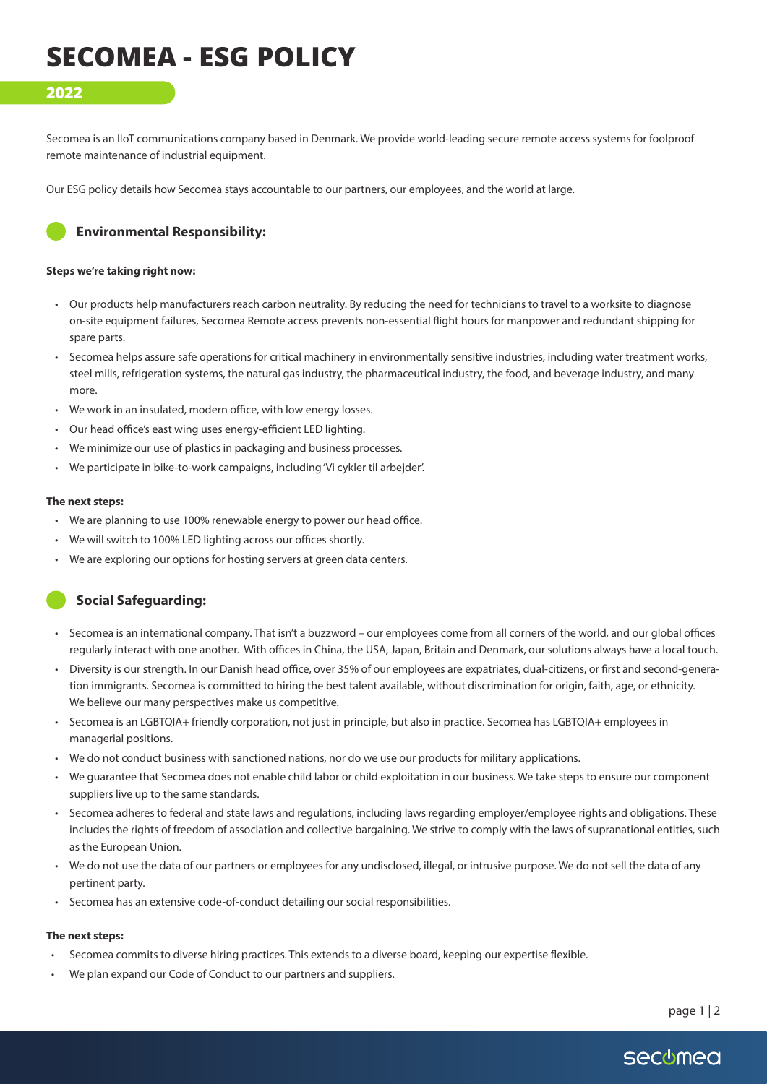# **SECOMEA - ESG POLICY**

## **2022**

Secomea is an IIoT communications company based in Denmark. We provide world-leading secure remote access systems for foolproof remote maintenance of industrial equipment.

Our ESG policy details how Secomea stays accountable to our partners, our employees, and the world at large.



## **Environmental Responsibility:**

#### **Steps we're taking right now:**

- Our products help manufacturers reach carbon neutrality. By reducing the need for technicians to travel to a worksite to diagnose on-site equipment failures, Secomea Remote access prevents non-essential flight hours for manpower and redundant shipping for spare parts.
- Secomea helps assure safe operations for critical machinery in environmentally sensitive industries, including water treatment works, steel mills, refrigeration systems, the natural gas industry, the pharmaceutical industry, the food, and beverage industry, and many more.
- We work in an insulated, modern office, with low energy losses.
- Our head office's east wing uses energy-efficient LED lighting.
- We minimize our use of plastics in packaging and business processes.
- We participate in bike-to-work campaigns, including 'Vi cykler til arbejder'.

#### **The next steps:**

- We are planning to use 100% renewable energy to power our head office.
- We will switch to 100% LED lighting across our offices shortly.
- We are exploring our options for hosting servers at green data centers.

## **Social Safeguarding:**

- Secomea is an international company. That isn't a buzzword our employees come from all corners of the world, and our global offices regularly interact with one another. With offices in China, the USA, Japan, Britain and Denmark, our solutions always have a local touch.
- Diversity is our strength. In our Danish head office, over 35% of our employees are expatriates, dual-citizens, or first and second-generation immigrants. Secomea is committed to hiring the best talent available, without discrimination for origin, faith, age, or ethnicity. We believe our many perspectives make us competitive.
- Secomea is an LGBTQIA+ friendly corporation, not just in principle, but also in practice. Secomea has LGBTQIA+ employees in managerial positions.
- We do not conduct business with sanctioned nations, nor do we use our products for military applications.
- We guarantee that Secomea does not enable child labor or child exploitation in our business. We take steps to ensure our component suppliers live up to the same standards.
- Secomea adheres to federal and state laws and regulations, including laws regarding employer/employee rights and obligations. These includes the rights of freedom of association and collective bargaining. We strive to comply with the laws of supranational entities, such as the European Union.
- We do not use the data of our partners or employees for any undisclosed, illegal, or intrusive purpose. We do not sell the data of any pertinent party.
- Secomea has an extensive code-of-conduct detailing our social responsibilities.

### **The next steps:**

- Secomea commits to diverse hiring practices. This extends to a diverse board, keeping our expertise flexible.
- We plan expand our Code of Conduct to our partners and suppliers.

page 1 | 2